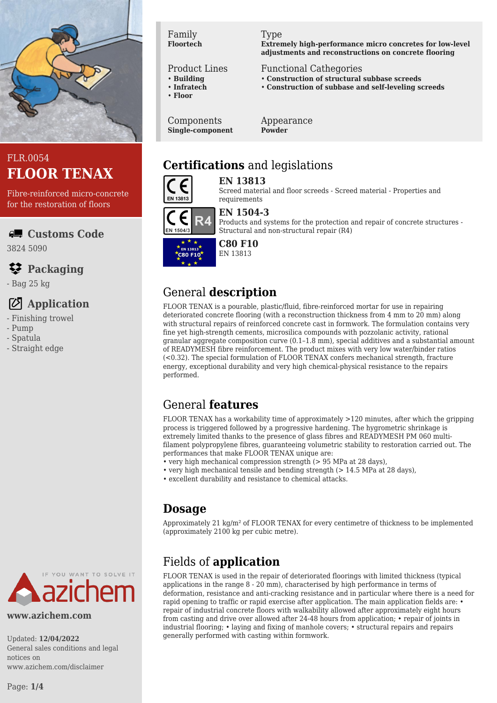

# FLR.0054 **FLOOR TENAX**

Fibre-reinforced micro-concrete for the restoration of floors

**Customs Code**

3824 5090

## **Packaging**

- Bag 25 kg

# **Application**

- Finishing trowel
- Pump
- Spatula
- Straight edge

#### Family **Floortech**

#### Product Lines

- **Building**
- **Infratech**
- **Floor**

Components **Single-component**

#### Type

**Extremely high-performance micro concretes for low-level adjustments and reconstructions on concrete flooring**

#### Functional Cathegories

- **Construction of structural subbase screeds**
- **Construction of subbase and self-leveling screeds**

Appearance **Powder**

# **Certifications** and legislations



**EN 13813** Screed material and floor screeds - Screed material - Properties and requirements



#### **EN 1504-3**

Products and systems for the protection and repair of concrete structures - Structural and non-structural repair (R4)



#### **C80 F10** EN 13813

# General **description**

FLOOR TENAX is a pourable, plastic/fluid, fibre-reinforced mortar for use in repairing deteriorated concrete flooring (with a reconstruction thickness from 4 mm to 20 mm) along with structural repairs of reinforced concrete cast in formwork. The formulation contains very fine yet high-strength cements, microsilica compounds with pozzolanic activity, rational granular aggregate composition curve (0.1–1.8 mm), special additives and a substantial amount of READYMESH fibre reinforcement. The product mixes with very low water/binder ratios (<0.32). The special formulation of FLOOR TENAX confers mechanical strength, fracture energy, exceptional durability and very high chemical-physical resistance to the repairs performed.

# General **features**

FLOOR TENAX has a workability time of approximately >120 minutes, after which the gripping process is triggered followed by a progressive hardening. The hygrometric shrinkage is extremely limited thanks to the presence of glass fibres and READYMESH PM 060 multifilament polypropylene fibres, guaranteeing volumetric stability to restoration carried out. The performances that make FLOOR TENAX unique are:

- very high mechanical compression strength (> 95 MPa at 28 days),
- very high mechanical tensile and bending strength (> 14.5 MPa at 28 days),
- excellent durability and resistance to chemical attacks.

## **Dosage**

Approximately 21 kg/m² of FLOOR TENAX for every centimetre of thickness to be implemented (approximately 2100 kg per cubic metre).

# Fields of **application**

FLOOR TENAX is used in the repair of deteriorated floorings with limited thickness (typical applications in the range 8 - 20 mm), characterised by high performance in terms of deformation, resistance and anti-cracking resistance and in particular where there is a need for rapid opening to traffic or rapid exercise after application. The main application fields are: repair of industrial concrete floors with walkability allowed after approximately eight hours from casting and drive over allowed after 24-48 hours from application: • repair of joints in industrial flooring; • laying and fixing of manhole covers; • structural repairs and repairs generally performed with casting within formwork.

Updated: **12/04/2022** General sales conditions and legal notices on www.azichem.com/disclaimer

**IF YOU WANT TO SOLVE IT** 

**www.azichem.com**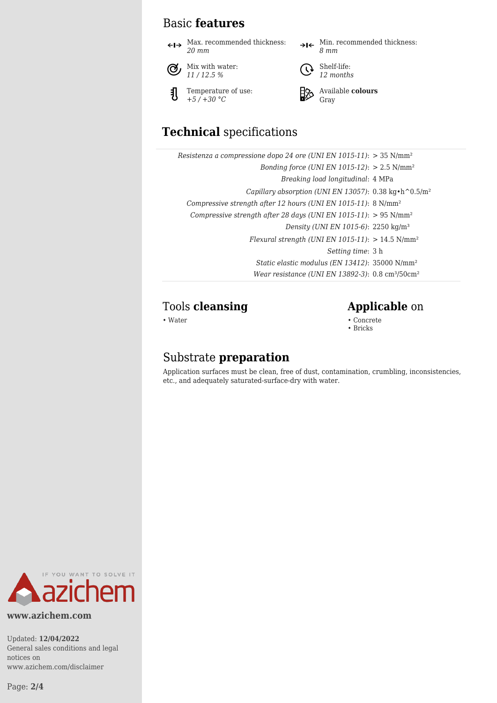## Basic **features**

 $\leftarrow\rightarrow$  Max. recommended thickness: *20 mm*



{

Temperature of use: *+5 / +30 °C*

 $\rightarrow$ I $\leftarrow$  Min. recommended thickness: *8 mm*



**a** Shelf-life: *12 months*



Available **colours** Gray

# **Technical** specifications

| Resistenza a compressione dopo 24 ore (UNI EN 1015-11): $>$ 35 N/mm <sup>2</sup>       |  |
|----------------------------------------------------------------------------------------|--|
| Bonding force (UNI EN 1015-12): $> 2.5$ N/mm <sup>2</sup>                              |  |
| Breaking load longitudinal: 4 MPa                                                      |  |
| Capillary absorption (UNI EN 13057): $0.38 \text{ kg} \cdot \text{h}^0 0.5/\text{m}^2$ |  |
| Compressive strength after 12 hours (UNI EN 1015-11): 8 N/mm <sup>2</sup>              |  |
| Compressive strength after 28 days (UNI EN 1015-11): $> 95$ N/mm <sup>2</sup>          |  |
| Density (UNI EN 1015-6): 2250 kg/m <sup>3</sup>                                        |  |
| Flexural strength (UNI EN 1015-11): $> 14.5$ N/mm <sup>2</sup>                         |  |
| <i>Setting time:</i> 3 h                                                               |  |
| Static elastic modulus (EN 13412): 35000 N/mm <sup>2</sup>                             |  |
| Wear resistance (UNI EN 13892-3): $0.8 \text{ cm}^3$ /50cm <sup>2</sup>                |  |

### Tools **cleansing Applicable** on

• Water • Concrete • Concrete • Concrete • Concrete • Concrete • Concrete • Concrete • Concrete • Concrete • Concrete • Concrete •  $\sim$  Concrete • Concrete •  $\sim$  Concrete •  $\sim$  Concrete •  $\sim$  Concrete •  $\sim$  Concrete •

• Bricks

## Substrate **preparation**

Application surfaces must be clean, free of dust, contamination, crumbling, inconsistencies, etc., and adequately saturated-surface-dry with water.



**www.azichem.com**

Updated: **12/04/2022** General sales conditions and legal notices on www.azichem.com/disclaimer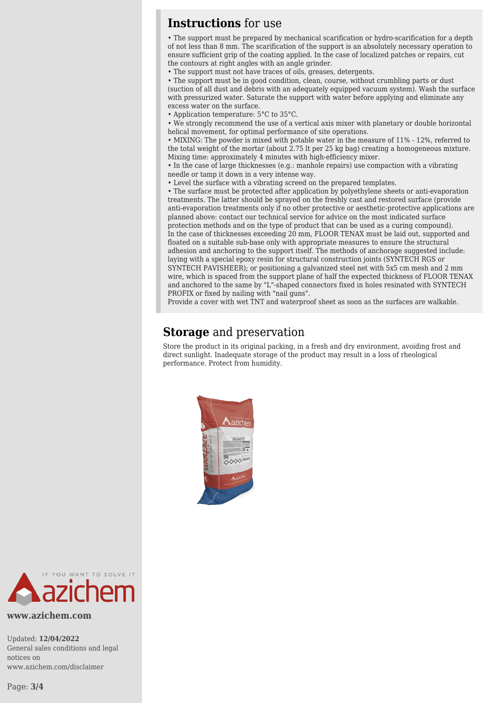### **Instructions** for use

• The support must be prepared by mechanical scarification or hydro-scarification for a depth of not less than 8 mm. The scarification of the support is an absolutely necessary operation to ensure sufficient grip of the coating applied. In the case of localized patches or repairs, cut the contours at right angles with an angle grinder.

• The support must not have traces of oils, greases, detergents.

• The support must be in good condition, clean, course, without crumbling parts or dust (suction of all dust and debris with an adequately equipped vacuum system). Wash the surface with pressurized water. Saturate the support with water before applying and eliminate any excess water on the surface.

• Application temperature: 5°C to 35°C.

• We strongly recommend the use of a vertical axis mixer with planetary or double horizontal helical movement, for optimal performance of site operations.

• MIXING: The powder is mixed with potable water in the measure of 11% - 12%, referred to the total weight of the mortar (about 2.75 lt per 25 kg bag) creating a homogeneous mixture. Mixing time: approximately 4 minutes with high-efficiency mixer.

• In the case of large thicknesses (e.g.: manhole repairs) use compaction with a vibrating needle or tamp it down in a very intense way.

• Level the surface with a vibrating screed on the prepared templates.

• The surface must be protected after application by polyethylene sheets or anti-evaporation treatments. The latter should be sprayed on the freshly cast and restored surface (provide anti-evaporation treatments only if no other protective or aesthetic-protective applications are planned above: contact our technical service for advice on the most indicated surface protection methods and on the type of product that can be used as a curing compound). In the case of thicknesses exceeding 20 mm, FLOOR TENAX must be laid out, supported and floated on a suitable sub-base only with appropriate measures to ensure the structural adhesion and anchoring to the support itself. The methods of anchorage suggested include: laying with a special epoxy resin for structural construction joints (SYNTECH RGS or SYNTECH PAVISHEER); or positioning a galvanized steel net with 5x5 cm mesh and 2 mm wire, which is spaced from the support plane of half the expected thickness of FLOOR TENAX and anchored to the same by "L"-shaped connectors fixed in holes resinated with SYNTECH PROFIX or fixed by nailing with "nail guns".

Provide a cover with wet TNT and waterproof sheet as soon as the surfaces are walkable.

### **Storage** and preservation

Store the product in its original packing, in a fresh and dry environment, avoiding frost and direct sunlight. Inadequate storage of the product may result in a loss of rheological performance. Protect from humidity.





**www.azichem.com**

Updated: **12/04/2022** General sales conditions and legal notices on www.azichem.com/disclaimer